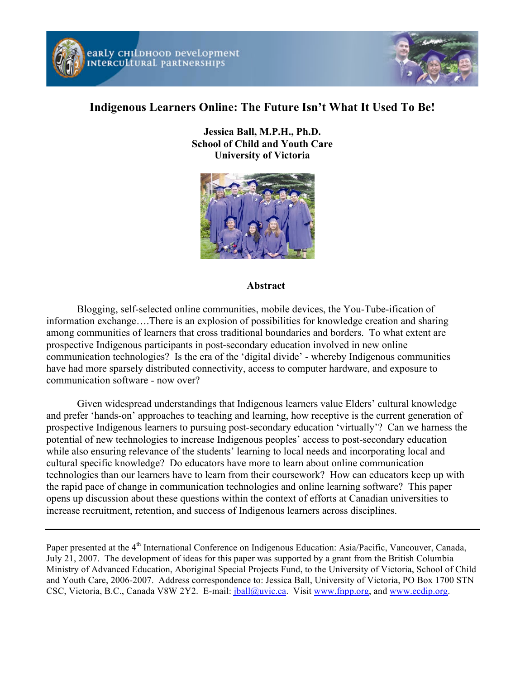



# **Indigenous Learners Online: The Future Isn't What It Used To Be!**

**Jessica Ball, M.P.H., Ph.D. School of Child and Youth Care University of Victoria**



#### **Abstract**

Blogging, self-selected online communities, mobile devices, the You-Tube-ification of information exchange….There is an explosion of possibilities for knowledge creation and sharing among communities of learners that cross traditional boundaries and borders. To what extent are prospective Indigenous participants in post-secondary education involved in new online communication technologies? Is the era of the 'digital divide' - whereby Indigenous communities have had more sparsely distributed connectivity, access to computer hardware, and exposure to communication software - now over?

Given widespread understandings that Indigenous learners value Elders' cultural knowledge and prefer 'hands-on' approaches to teaching and learning, how receptive is the current generation of prospective Indigenous learners to pursuing post-secondary education 'virtually'? Can we harness the potential of new technologies to increase Indigenous peoples' access to post-secondary education while also ensuring relevance of the students' learning to local needs and incorporating local and cultural specific knowledge? Do educators have more to learn about online communication technologies than our learners have to learn from their coursework? How can educators keep up with the rapid pace of change in communication technologies and online learning software? This paper opens up discussion about these questions within the context of efforts at Canadian universities to increase recruitment, retention, and success of Indigenous learners across disciplines.

Paper presented at the 4<sup>th</sup> International Conference on Indigenous Education: Asia/Pacific, Vancouver, Canada, July 21, 2007. The development of ideas for this paper was supported by a grant from the British Columbia Ministry of Advanced Education, Aboriginal Special Projects Fund, to the University of Victoria, School of Child and Youth Care, 2006-2007. Address correspondence to: Jessica Ball, University of Victoria, PO Box 1700 STN CSC, Victoria, B.C., Canada V8W 2Y2. E-mail: jball@uvic.ca. Visit www.fnpp.org, and www.ecdip.org.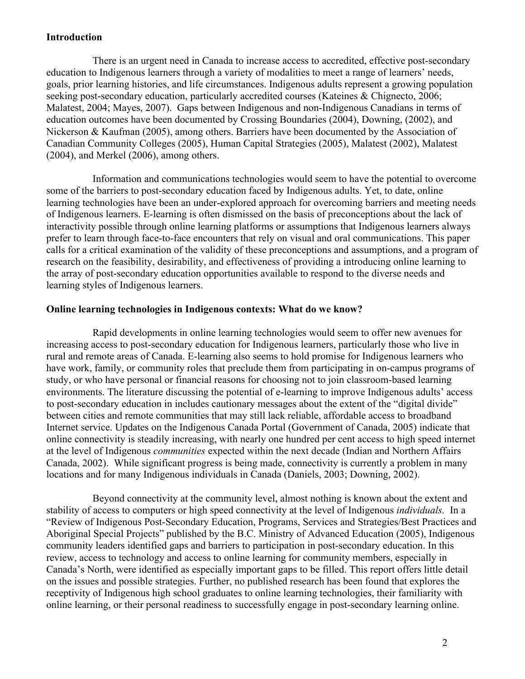## **Introduction**

There is an urgent need in Canada to increase access to accredited, effective post-secondary education to Indigenous learners through a variety of modalities to meet a range of learners' needs, goals, prior learning histories, and life circumstances. Indigenous adults represent a growing population seeking post-secondary education, particularly accredited courses (Kateines & Chignecto, 2006; Malatest, 2004; Mayes, 2007). Gaps between Indigenous and non-Indigenous Canadians in terms of education outcomes have been documented by Crossing Boundaries (2004), Downing, (2002), and Nickerson & Kaufman (2005), among others. Barriers have been documented by the Association of Canadian Community Colleges (2005), Human Capital Strategies (2005), Malatest (2002), Malatest (2004), and Merkel (2006), among others.

Information and communications technologies would seem to have the potential to overcome some of the barriers to post-secondary education faced by Indigenous adults. Yet, to date, online learning technologies have been an under-explored approach for overcoming barriers and meeting needs of Indigenous learners. E-learning is often dismissed on the basis of preconceptions about the lack of interactivity possible through online learning platforms or assumptions that Indigenous learners always prefer to learn through face-to-face encounters that rely on visual and oral communications. This paper calls for a critical examination of the validity of these preconceptions and assumptions, and a program of research on the feasibility, desirability, and effectiveness of providing a introducing online learning to the array of post-secondary education opportunities available to respond to the diverse needs and learning styles of Indigenous learners.

#### **Online learning technologies in Indigenous contexts: What do we know?**

Rapid developments in online learning technologies would seem to offer new avenues for increasing access to post-secondary education for Indigenous learners, particularly those who live in rural and remote areas of Canada. E-learning also seems to hold promise for Indigenous learners who have work, family, or community roles that preclude them from participating in on-campus programs of study, or who have personal or financial reasons for choosing not to join classroom-based learning environments. The literature discussing the potential of e-learning to improve Indigenous adults' access to post-secondary education in includes cautionary messages about the extent of the "digital divide" between cities and remote communities that may still lack reliable, affordable access to broadband Internet service. Updates on the Indigenous Canada Portal (Government of Canada, 2005) indicate that online connectivity is steadily increasing, with nearly one hundred per cent access to high speed internet at the level of Indigenous *communities* expected within the next decade (Indian and Northern Affairs Canada, 2002). While significant progress is being made, connectivity is currently a problem in many locations and for many Indigenous individuals in Canada (Daniels, 2003; Downing, 2002).

Beyond connectivity at the community level, almost nothing is known about the extent and stability of access to computers or high speed connectivity at the level of Indigenous *individuals.* In a "Review of Indigenous Post-Secondary Education, Programs, Services and Strategies/Best Practices and Aboriginal Special Projects" published by the B.C. Ministry of Advanced Education (2005), Indigenous community leaders identified gaps and barriers to participation in post-secondary education. In this review, access to technology and access to online learning for community members, especially in Canada's North, were identified as especially important gaps to be filled. This report offers little detail on the issues and possible strategies. Further, no published research has been found that explores the receptivity of Indigenous high school graduates to online learning technologies, their familiarity with online learning, or their personal readiness to successfully engage in post-secondary learning online.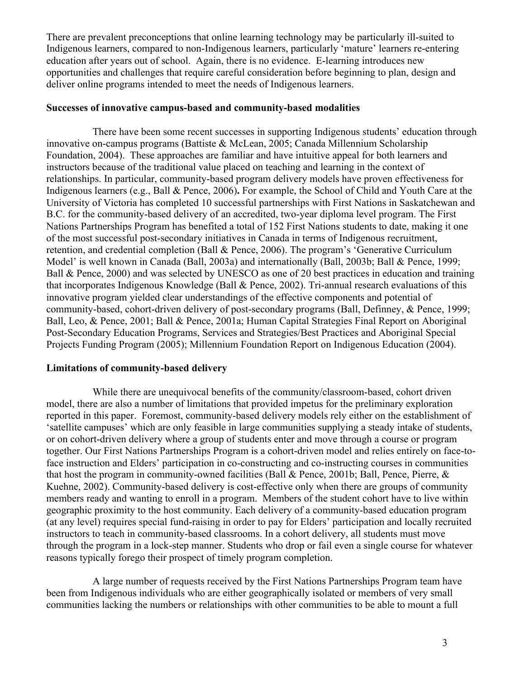There are prevalent preconceptions that online learning technology may be particularly ill-suited to Indigenous learners, compared to non-Indigenous learners, particularly 'mature' learners re-entering education after years out of school. Again, there is no evidence. E-learning introduces new opportunities and challenges that require careful consideration before beginning to plan, design and deliver online programs intended to meet the needs of Indigenous learners.

#### **Successes of innovative campus-based and community-based modalities**

There have been some recent successes in supporting Indigenous students' education through innovative on-campus programs (Battiste & McLean, 2005; Canada Millennium Scholarship Foundation, 2004). These approaches are familiar and have intuitive appeal for both learners and instructors because of the traditional value placed on teaching and learning in the context of relationships. In particular, community-based program delivery models have proven effectiveness for Indigenous learners (e.g., Ball & Pence, 2006)**.** For example, the School of Child and Youth Care at the University of Victoria has completed 10 successful partnerships with First Nations in Saskatchewan and B.C. for the community-based delivery of an accredited, two-year diploma level program. The First Nations Partnerships Program has benefited a total of 152 First Nations students to date, making it one of the most successful post-secondary initiatives in Canada in terms of Indigenous recruitment, retention, and credential completion (Ball & Pence, 2006). The program's 'Generative Curriculum Model' is well known in Canada (Ball, 2003a) and internationally (Ball, 2003b; Ball & Pence, 1999; Ball & Pence, 2000) and was selected by UNESCO as one of 20 best practices in education and training that incorporates Indigenous Knowledge (Ball & Pence, 2002). Tri-annual research evaluations of this innovative program yielded clear understandings of the effective components and potential of community-based, cohort-driven delivery of post-secondary programs (Ball, Definney, & Pence, 1999; Ball, Leo, & Pence, 2001; Ball & Pence, 2001a; Human Capital Strategies Final Report on Aboriginal Post-Secondary Education Programs, Services and Strategies/Best Practices and Aboriginal Special Projects Funding Program (2005); Millennium Foundation Report on Indigenous Education (2004).

### **Limitations of community-based delivery**

While there are unequivocal benefits of the community/classroom-based, cohort driven model, there are also a number of limitations that provided impetus for the preliminary exploration reported in this paper. Foremost, community-based delivery models rely either on the establishment of 'satellite campuses' which are only feasible in large communities supplying a steady intake of students, or on cohort-driven delivery where a group of students enter and move through a course or program together. Our First Nations Partnerships Program is a cohort-driven model and relies entirely on face-toface instruction and Elders' participation in co-constructing and co-instructing courses in communities that host the program in community-owned facilities (Ball & Pence, 2001b; Ball, Pence, Pierre, & Kuehne, 2002). Community-based delivery is cost-effective only when there are groups of community members ready and wanting to enroll in a program. Members of the student cohort have to live within geographic proximity to the host community. Each delivery of a community-based education program (at any level) requires special fund-raising in order to pay for Elders' participation and locally recruited instructors to teach in community-based classrooms. In a cohort delivery, all students must move through the program in a lock-step manner. Students who drop or fail even a single course for whatever reasons typically forego their prospect of timely program completion.

A large number of requests received by the First Nations Partnerships Program team have been from Indigenous individuals who are either geographically isolated or members of very small communities lacking the numbers or relationships with other communities to be able to mount a full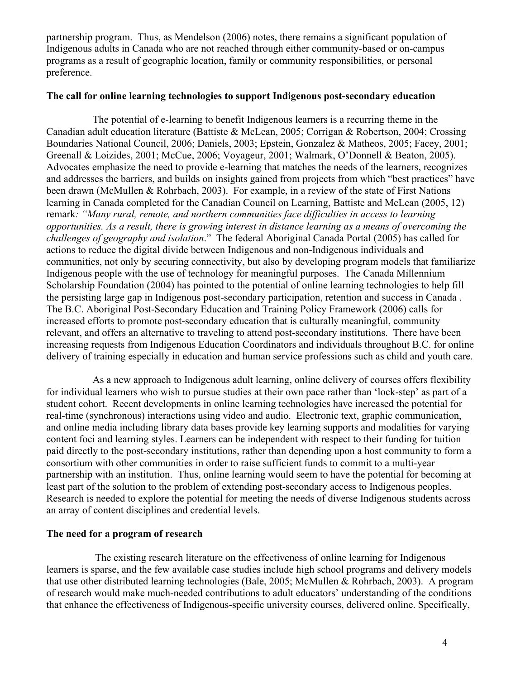partnership program. Thus, as Mendelson (2006) notes, there remains a significant population of Indigenous adults in Canada who are not reached through either community-based or on-campus programs as a result of geographic location, family or community responsibilities, or personal preference.

### **The call for online learning technologies to support Indigenous post-secondary education**

The potential of e-learning to benefit Indigenous learners is a recurring theme in the Canadian adult education literature (Battiste & McLean, 2005; Corrigan & Robertson, 2004; Crossing Boundaries National Council, 2006; Daniels, 2003; Epstein, Gonzalez & Matheos, 2005; Facey, 2001; Greenall & Loizides, 2001; McCue, 2006; Voyageur, 2001; Walmark, O'Donnell & Beaton, 2005). Advocates emphasize the need to provide e-learning that matches the needs of the learners, recognizes and addresses the barriers, and builds on insights gained from projects from which "best practices" have been drawn (McMullen & Rohrbach, 2003). For example, in a review of the state of First Nations learning in Canada completed for the Canadian Council on Learning, Battiste and McLean (2005, 12) remark*: "Many rural, remote, and northern communities face difficulties in access to learning opportunities. As a result, there is growing interest in distance learning as a means of overcoming the challenges of geography and isolation*." The federal Aboriginal Canada Portal (2005) has called for actions to reduce the digital divide between Indigenous and non-Indigenous individuals and communities, not only by securing connectivity, but also by developing program models that familiarize Indigenous people with the use of technology for meaningful purposes. The Canada Millennium Scholarship Foundation (2004) has pointed to the potential of online learning technologies to help fill the persisting large gap in Indigenous post-secondary participation, retention and success in Canada . The B.C. Aboriginal Post-Secondary Education and Training Policy Framework (2006) calls for increased efforts to promote post-secondary education that is culturally meaningful, community relevant, and offers an alternative to traveling to attend post-secondary institutions. There have been increasing requests from Indigenous Education Coordinators and individuals throughout B.C. for online delivery of training especially in education and human service professions such as child and youth care.

As a new approach to Indigenous adult learning, online delivery of courses offers flexibility for individual learners who wish to pursue studies at their own pace rather than 'lock-step' as part of a student cohort. Recent developments in online learning technologies have increased the potential for real-time (synchronous) interactions using video and audio. Electronic text, graphic communication, and online media including library data bases provide key learning supports and modalities for varying content foci and learning styles. Learners can be independent with respect to their funding for tuition paid directly to the post-secondary institutions, rather than depending upon a host community to form a consortium with other communities in order to raise sufficient funds to commit to a multi-year partnership with an institution. Thus, online learning would seem to have the potential for becoming at least part of the solution to the problem of extending post-secondary access to Indigenous peoples. Research is needed to explore the potential for meeting the needs of diverse Indigenous students across an array of content disciplines and credential levels.

# **The need for a program of research**

The existing research literature on the effectiveness of online learning for Indigenous learners is sparse, and the few available case studies include high school programs and delivery models that use other distributed learning technologies (Bale, 2005; McMullen & Rohrbach, 2003). A program of research would make much-needed contributions to adult educators' understanding of the conditions that enhance the effectiveness of Indigenous-specific university courses, delivered online. Specifically,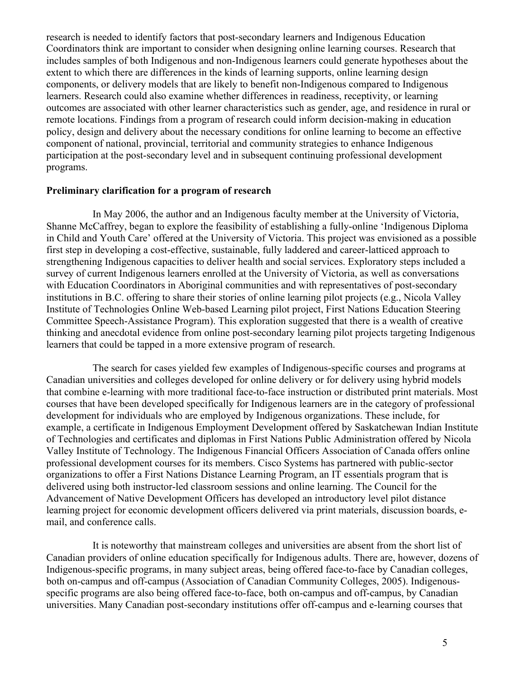research is needed to identify factors that post-secondary learners and Indigenous Education Coordinators think are important to consider when designing online learning courses. Research that includes samples of both Indigenous and non-Indigenous learners could generate hypotheses about the extent to which there are differences in the kinds of learning supports, online learning design components, or delivery models that are likely to benefit non-Indigenous compared to Indigenous learners. Research could also examine whether differences in readiness, receptivity, or learning outcomes are associated with other learner characteristics such as gender, age, and residence in rural or remote locations. Findings from a program of research could inform decision-making in education policy, design and delivery about the necessary conditions for online learning to become an effective component of national, provincial, territorial and community strategies to enhance Indigenous participation at the post-secondary level and in subsequent continuing professional development programs.

#### **Preliminary clarification for a program of research**

In May 2006, the author and an Indigenous faculty member at the University of Victoria, Shanne McCaffrey, began to explore the feasibility of establishing a fully-online 'Indigenous Diploma in Child and Youth Care' offered at the University of Victoria. This project was envisioned as a possible first step in developing a cost-effective, sustainable, fully laddered and career-latticed approach to strengthening Indigenous capacities to deliver health and social services. Exploratory steps included a survey of current Indigenous learners enrolled at the University of Victoria, as well as conversations with Education Coordinators in Aboriginal communities and with representatives of post-secondary institutions in B.C. offering to share their stories of online learning pilot projects (e.g., Nicola Valley Institute of Technologies Online Web-based Learning pilot project, First Nations Education Steering Committee Speech-Assistance Program). This exploration suggested that there is a wealth of creative thinking and anecdotal evidence from online post-secondary learning pilot projects targeting Indigenous learners that could be tapped in a more extensive program of research.

The search for cases yielded few examples of Indigenous-specific courses and programs at Canadian universities and colleges developed for online delivery or for delivery using hybrid models that combine e-learning with more traditional face-to-face instruction or distributed print materials. Most courses that have been developed specifically for Indigenous learners are in the category of professional development for individuals who are employed by Indigenous organizations. These include, for example, a certificate in Indigenous Employment Development offered by Saskatchewan Indian Institute of Technologies and certificates and diplomas in First Nations Public Administration offered by Nicola Valley Institute of Technology. The Indigenous Financial Officers Association of Canada offers online professional development courses for its members. Cisco Systems has partnered with public-sector organizations to offer a First Nations Distance Learning Program, an IT essentials program that is delivered using both instructor-led classroom sessions and online learning. The Council for the Advancement of Native Development Officers has developed an introductory level pilot distance learning project for economic development officers delivered via print materials, discussion boards, email, and conference calls.

It is noteworthy that mainstream colleges and universities are absent from the short list of Canadian providers of online education specifically for Indigenous adults. There are, however, dozens of Indigenous-specific programs, in many subject areas, being offered face-to-face by Canadian colleges, both on-campus and off-campus (Association of Canadian Community Colleges, 2005). Indigenousspecific programs are also being offered face-to-face, both on-campus and off-campus, by Canadian universities. Many Canadian post-secondary institutions offer off-campus and e-learning courses that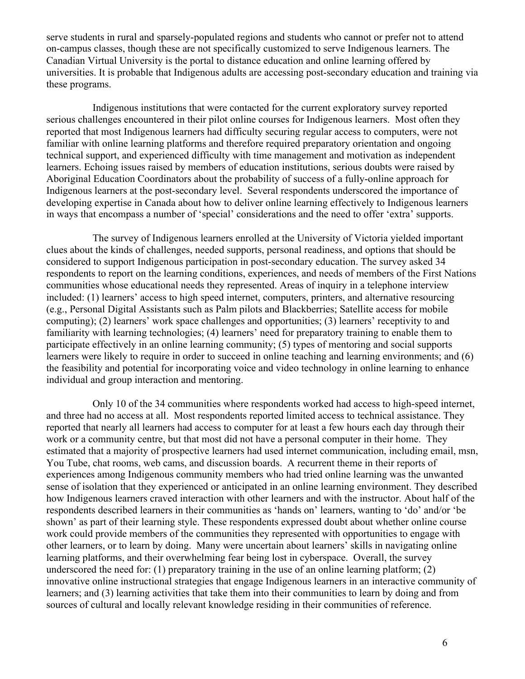serve students in rural and sparsely-populated regions and students who cannot or prefer not to attend on-campus classes, though these are not specifically customized to serve Indigenous learners. The Canadian Virtual University is the portal to distance education and online learning offered by universities. It is probable that Indigenous adults are accessing post-secondary education and training via these programs.

Indigenous institutions that were contacted for the current exploratory survey reported serious challenges encountered in their pilot online courses for Indigenous learners. Most often they reported that most Indigenous learners had difficulty securing regular access to computers, were not familiar with online learning platforms and therefore required preparatory orientation and ongoing technical support, and experienced difficulty with time management and motivation as independent learners. Echoing issues raised by members of education institutions, serious doubts were raised by Aboriginal Education Coordinators about the probability of success of a fully-online approach for Indigenous learners at the post-secondary level. Several respondents underscored the importance of developing expertise in Canada about how to deliver online learning effectively to Indigenous learners in ways that encompass a number of 'special' considerations and the need to offer 'extra' supports.

The survey of Indigenous learners enrolled at the University of Victoria yielded important clues about the kinds of challenges, needed supports, personal readiness, and options that should be considered to support Indigenous participation in post-secondary education. The survey asked 34 respondents to report on the learning conditions, experiences, and needs of members of the First Nations communities whose educational needs they represented. Areas of inquiry in a telephone interview included: (1) learners' access to high speed internet, computers, printers, and alternative resourcing (e.g., Personal Digital Assistants such as Palm pilots and Blackberries; Satellite access for mobile computing); (2) learners' work space challenges and opportunities; (3) learners' receptivity to and familiarity with learning technologies; (4) learners' need for preparatory training to enable them to participate effectively in an online learning community; (5) types of mentoring and social supports learners were likely to require in order to succeed in online teaching and learning environments; and (6) the feasibility and potential for incorporating voice and video technology in online learning to enhance individual and group interaction and mentoring.

Only 10 of the 34 communities where respondents worked had access to high-speed internet, and three had no access at all. Most respondents reported limited access to technical assistance. They reported that nearly all learners had access to computer for at least a few hours each day through their work or a community centre, but that most did not have a personal computer in their home. They estimated that a majority of prospective learners had used internet communication, including email, msn, You Tube, chat rooms, web cams, and discussion boards. A recurrent theme in their reports of experiences among Indigenous community members who had tried online learning was the unwanted sense of isolation that they experienced or anticipated in an online learning environment. They described how Indigenous learners craved interaction with other learners and with the instructor. About half of the respondents described learners in their communities as 'hands on' learners, wanting to 'do' and/or 'be shown' as part of their learning style. These respondents expressed doubt about whether online course work could provide members of the communities they represented with opportunities to engage with other learners, or to learn by doing. Many were uncertain about learners' skills in navigating online learning platforms, and their overwhelming fear being lost in cyberspace. Overall, the survey underscored the need for: (1) preparatory training in the use of an online learning platform; (2) innovative online instructional strategies that engage Indigenous learners in an interactive community of learners; and (3) learning activities that take them into their communities to learn by doing and from sources of cultural and locally relevant knowledge residing in their communities of reference.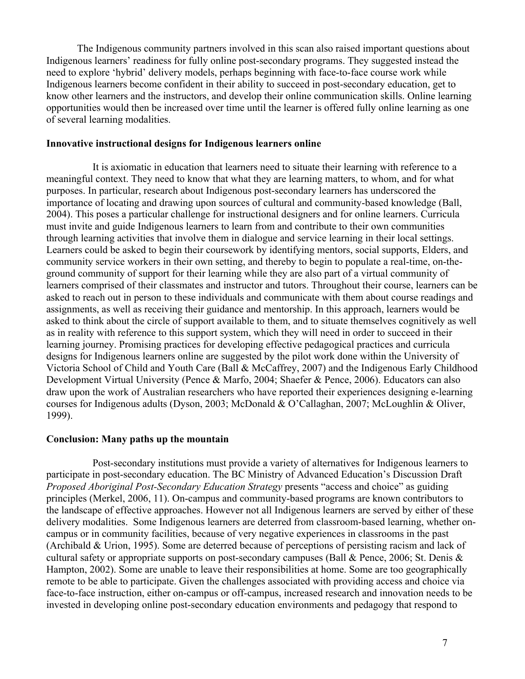The Indigenous community partners involved in this scan also raised important questions about Indigenous learners' readiness for fully online post-secondary programs. They suggested instead the need to explore 'hybrid' delivery models, perhaps beginning with face-to-face course work while Indigenous learners become confident in their ability to succeed in post-secondary education, get to know other learners and the instructors, and develop their online communication skills. Online learning opportunities would then be increased over time until the learner is offered fully online learning as one of several learning modalities.

#### **Innovative instructional designs for Indigenous learners online**

It is axiomatic in education that learners need to situate their learning with reference to a meaningful context. They need to know that what they are learning matters, to whom, and for what purposes. In particular, research about Indigenous post-secondary learners has underscored the importance of locating and drawing upon sources of cultural and community-based knowledge (Ball, 2004). This poses a particular challenge for instructional designers and for online learners. Curricula must invite and guide Indigenous learners to learn from and contribute to their own communities through learning activities that involve them in dialogue and service learning in their local settings. Learners could be asked to begin their coursework by identifying mentors, social supports, Elders, and community service workers in their own setting, and thereby to begin to populate a real-time, on-theground community of support for their learning while they are also part of a virtual community of learners comprised of their classmates and instructor and tutors. Throughout their course, learners can be asked to reach out in person to these individuals and communicate with them about course readings and assignments, as well as receiving their guidance and mentorship. In this approach, learners would be asked to think about the circle of support available to them, and to situate themselves cognitively as well as in reality with reference to this support system, which they will need in order to succeed in their learning journey. Promising practices for developing effective pedagogical practices and curricula designs for Indigenous learners online are suggested by the pilot work done within the University of Victoria School of Child and Youth Care (Ball & McCaffrey, 2007) and the Indigenous Early Childhood Development Virtual University (Pence & Marfo, 2004; Shaefer & Pence, 2006). Educators can also draw upon the work of Australian researchers who have reported their experiences designing e-learning courses for Indigenous adults (Dyson, 2003; McDonald & O'Callaghan, 2007; McLoughlin & Oliver, 1999).

#### **Conclusion: Many paths up the mountain**

Post-secondary institutions must provide a variety of alternatives for Indigenous learners to participate in post-secondary education. The BC Ministry of Advanced Education's Discussion Draft *Proposed Aboriginal Post-Secondary Education Strategy* presents "access and choice" as guiding principles (Merkel, 2006, 11). On-campus and community-based programs are known contributors to the landscape of effective approaches. However not all Indigenous learners are served by either of these delivery modalities. Some Indigenous learners are deterred from classroom-based learning, whether oncampus or in community facilities, because of very negative experiences in classrooms in the past (Archibald & Urion, 1995). Some are deterred because of perceptions of persisting racism and lack of cultural safety or appropriate supports on post-secondary campuses (Ball & Pence, 2006; St. Denis & Hampton, 2002). Some are unable to leave their responsibilities at home. Some are too geographically remote to be able to participate. Given the challenges associated with providing access and choice via face-to-face instruction, either on-campus or off-campus, increased research and innovation needs to be invested in developing online post-secondary education environments and pedagogy that respond to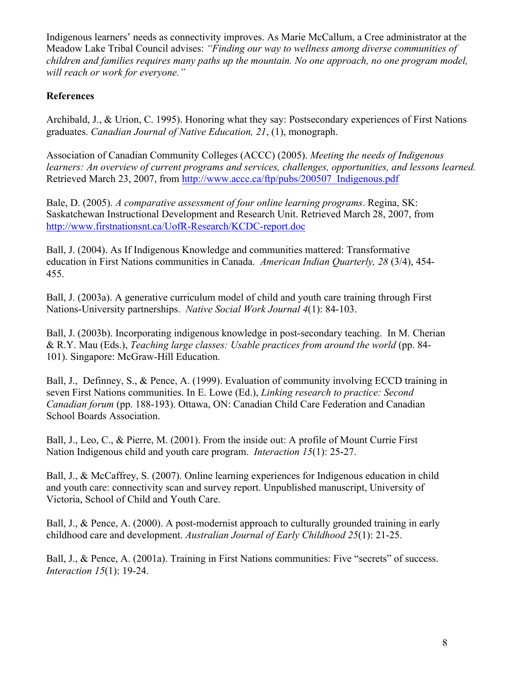Indigenous learners' needs as connectivity improves. As Marie McCallum, a Cree administrator at the Meadow Lake Tribal Council advises: *"Finding our way to wellness among diverse communities of children and families requires many paths up the mountain. No one approach, no one program model, will reach or work for everyone."*

# **References**

Archibald, J., & Urion, C. 1995). Honoring what they say: Postsecondary experiences of First Nations graduates. *Canadian Journal of Native Education, 21*, (1), monograph.

Association of Canadian Community Colleges (ACCC) (2005). *Meeting the needs of Indigenous learners: An overview of current programs and services, challenges, opportunities, and lessons learned.*  Retrieved March 23, 2007, from http://www.accc.ca/ftp/pubs/200507\_Indigenous.pdf

Bale, D. (2005). *A comparative assessment of four online learning programs*. Regina, SK: Saskatchewan Instructional Development and Research Unit. Retrieved March 28, 2007, from http://www.firstnationsnt.ca/UofR-Research/KCDC-report.doc

Ball, J. (2004). As If Indigenous Knowledge and communities mattered: Transformative education in First Nations communities in Canada. *American Indian Quarterly, 28* (3/4), 454- 455.

Ball, J. (2003a). A generative curriculum model of child and youth care training through First Nations-University partnerships. *Native Social Work Journal 4*(1): 84-103.

Ball, J. (2003b). Incorporating indigenous knowledge in post-secondary teaching. In M. Cherian & R.Y. Mau (Eds.), *Teaching large classes: Usable practices from around the world* (pp. 84- 101). Singapore: McGraw-Hill Education.

Ball, J., Definney, S., & Pence, A. (1999). Evaluation of community involving ECCD training in seven First Nations communities. In E. Lowe (Ed.), *Linking research to practice: Second Canadian forum* (pp. 188-193). Ottawa, ON: Canadian Child Care Federation and Canadian School Boards Association.

Ball, J., Leo, C., & Pierre, M. (2001). From the inside out: A profile of Mount Currie First Nation Indigenous child and youth care program. *Interaction 15*(1): 25-27.

Ball, J., & McCaffrey, S. (2007). Online learning experiences for Indigenous education in child and youth care: connectivity scan and survey report. Unpublished manuscript, University of Victoria, School of Child and Youth Care.

Ball, J., & Pence, A. (2000). A post-modernist approach to culturally grounded training in early childhood care and development. *Australian Journal of Early Childhood 25*(1): 21-25.

Ball, J., & Pence, A. (2001a). Training in First Nations communities: Five "secrets" of success. *Interaction 15*(1): 19-24.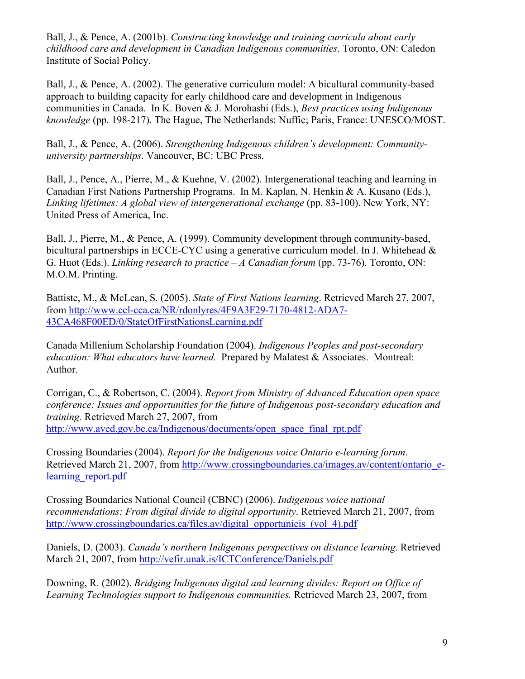Ball, J., & Pence, A. (2001b). *Constructing knowledge and training curricula about early childhood care and development in Canadian Indigenous communities*. Toronto, ON: Caledon Institute of Social Policy.

Ball, J., & Pence, A. (2002). The generative curriculum model: A bicultural community-based approach to building capacity for early childhood care and development in Indigenous communities in Canada. In K. Boven & J. Morohashi (Eds.), *Best practices using Indigenous knowledge* (pp. 198-217). The Hague, The Netherlands: Nuffic; Paris, France: UNESCO/MOST.

Ball, J., & Pence, A. (2006). *Strengthening Indigenous children's development: Communityuniversity partnerships*. Vancouver, BC: UBC Press.

Ball, J., Pence, A., Pierre, M., & Kuehne, V. (2002). Intergenerational teaching and learning in Canadian First Nations Partnership Programs. In M. Kaplan, N. Henkin & A. Kusano (Eds.), *Linking lifetimes: A global view of intergenerational exchange* (pp. 83-100). New York, NY: United Press of America, Inc.

Ball, J., Pierre, M., & Pence, A. (1999). Community development through community-based, bicultural partnerships in ECCE-CYC using a generative curriculum model. In J. Whitehead & G. Huot (Eds.). *Linking research to practice – A Canadian forum* (pp. 73-76)*.* Toronto, ON: M.O.M. Printing.

Battiste, M., & McLean, S. (2005). *State of First Nations learning*. Retrieved March 27, 2007, from http://www.ccl-cca.ca/NR/rdonlyres/4F9A3F29-7170-4812-ADA7- 43CA468F00ED/0/StateOfFirstNationsLearning.pdf

Canada Millenium Scholarship Foundation (2004). *Indigenous Peoples and post-secondary education: What educators have learned.* Prepared by Malatest & Associates. Montreal: Author.

Corrigan, C., & Robertson, C. (2004). *Report from Ministry of Advanced Education open space conference: Issues and opportunities for the future of Indigenous post-secondary education and training.* Retrieved March 27, 2007, from http://www.aved.gov.bc.ca/Indigenous/documents/open\_space\_final\_rpt.pdf

Crossing Boundaries (2004). *Report for the Indigenous voice Ontario e-learning forum*. Retrieved March 21, 2007, from http://www.crossingboundaries.ca/images.av/content/ontario\_elearning report.pdf

Crossing Boundaries National Council (CBNC) (2006). *Indigenous voice national recommendations: From digital divide to digital opportunity*. Retrieved March 21, 2007, from http://www.crossingboundaries.ca/files.av/digital\_opportunieis\_(vol\_4).pdf

Daniels, D. (2003). *Canada's northern Indigenous perspectives on distance learning*. Retrieved March 21, 2007, from http://vefir.unak.is/ICTConference/Daniels.pdf

Downing, R. (2002). *Bridging Indigenous digital and learning divides: Report on Office of Learning Technologies support to Indigenous communities.* Retrieved March 23, 2007, from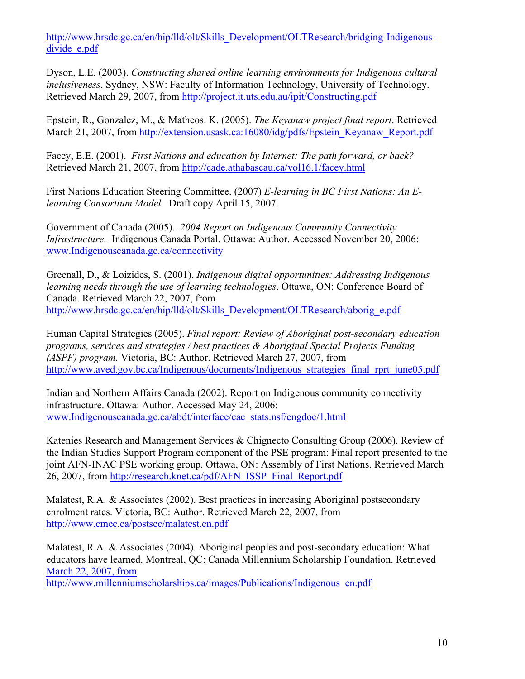http://www.hrsdc.gc.ca/en/hip/lld/olt/Skills\_Development/OLTResearch/bridging-Indigenousdivide e.pdf

Dyson, L.E. (2003). *Constructing shared online learning environments for Indigenous cultural inclusiveness*. Sydney, NSW: Faculty of Information Technology, University of Technology. Retrieved March 29, 2007, from http://project.it.uts.edu.au/ipit/Constructing.pdf

Epstein, R., Gonzalez, M., & Matheos. K. (2005). *The Keyanaw project final report*. Retrieved March 21, 2007, from http://extension.usask.ca:16080/idg/pdfs/Epstein\_Keyanaw\_Report.pdf

Facey, E.E. (2001). *First Nations and education by Internet: The path forward, or back?* Retrieved March 21, 2007, from http://cade.athabascau.ca/vol16.1/facey.html

First Nations Education Steering Committee. (2007) *E-learning in BC First Nations: An Elearning Consortium Model.* Draft copy April 15, 2007.

Government of Canada (2005). *2004 Report on Indigenous Community Connectivity Infrastructure.* Indigenous Canada Portal. Ottawa: Author. Accessed November 20, 2006: www.Indigenouscanada.gc.ca/connectivity

Greenall, D., & Loizides, S. (2001). *Indigenous digital opportunities: Addressing Indigenous learning needs through the use of learning technologies*. Ottawa, ON: Conference Board of Canada. Retrieved March 22, 2007, from http://www.hrsdc.gc.ca/en/hip/lld/olt/Skills\_Development/OLTResearch/aborig\_e.pdf

Human Capital Strategies (2005). *Final report: Review of Aboriginal post-secondary education programs, services and strategies / best practices & Aboriginal Special Projects Funding (ASPF) program.* Victoria, BC: Author. Retrieved March 27, 2007, from http://www.aved.gov.bc.ca/Indigenous/documents/Indigenous\_strategies\_final\_rprt\_june05.pdf

Indian and Northern Affairs Canada (2002). Report on Indigenous community connectivity infrastructure. Ottawa: Author. Accessed May 24, 2006: www.Indigenouscanada.gc.ca/abdt/interface/cac\_stats.nsf/engdoc/1.html

Katenies Research and Management Services & Chignecto Consulting Group (2006). Review of the Indian Studies Support Program component of the PSE program: Final report presented to the joint AFN-INAC PSE working group. Ottawa, ON: Assembly of First Nations. Retrieved March 26, 2007, from http://research.knet.ca/pdf/AFN\_ISSP\_Final\_Report.pdf

Malatest, R.A. & Associates (2002). Best practices in increasing Aboriginal postsecondary enrolment rates. Victoria, BC: Author. Retrieved March 22, 2007, from http://www.cmec.ca/postsec/malatest.en.pdf

Malatest, R.A. & Associates (2004). Aboriginal peoples and post-secondary education: What educators have learned. Montreal, QC: Canada Millennium Scholarship Foundation. Retrieved March 22, 2007, from

http://www.millenniumscholarships.ca/images/Publications/Indigenous\_en.pdf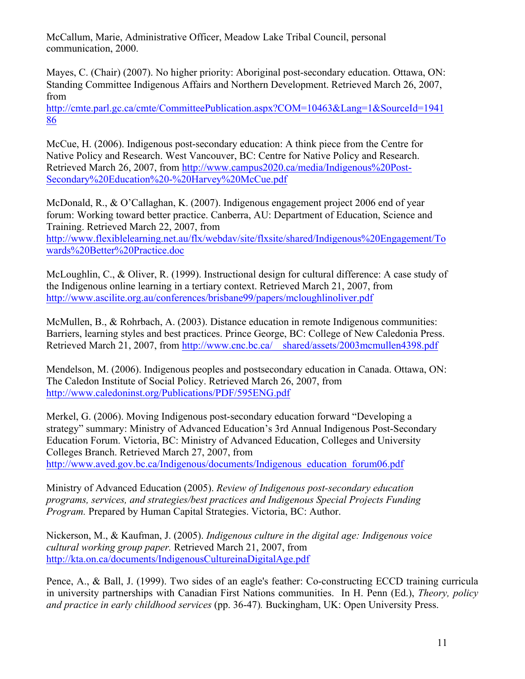McCallum, Marie, Administrative Officer, Meadow Lake Tribal Council, personal communication, 2000.

Mayes, C. (Chair) (2007). No higher priority: Aboriginal post-secondary education. Ottawa, ON: Standing Committee Indigenous Affairs and Northern Development. Retrieved March 26, 2007, from

http://cmte.parl.gc.ca/cmte/CommitteePublication.aspx?COM=10463&Lang=1&SourceId=1941 86

McCue, H. (2006). Indigenous post-secondary education: A think piece from the Centre for Native Policy and Research. West Vancouver, BC: Centre for Native Policy and Research. Retrieved March 26, 2007, from http://www.campus2020.ca/media/Indigenous%20Post-Secondary%20Education%20-%20Harvey%20McCue.pdf

McDonald, R., & O'Callaghan, K. (2007). Indigenous engagement project 2006 end of year forum: Working toward better practice. Canberra, AU: Department of Education, Science and Training. Retrieved March 22, 2007, from

http://www.flexiblelearning.net.au/flx/webdav/site/flxsite/shared/Indigenous%20Engagement/To wards%20Better%20Practice.doc

McLoughlin, C., & Oliver, R. (1999). Instructional design for cultural difference: A case study of the Indigenous online learning in a tertiary context. Retrieved March 21, 2007, from http://www.ascilite.org.au/conferences/brisbane99/papers/mcloughlinoliver.pdf

McMullen, B., & Rohrbach, A. (2003). Distance education in remote Indigenous communities: Barriers, learning styles and best practices. Prince George, BC: College of New Caledonia Press. Retrieved March 21, 2007, from http://www.cnc.bc.ca/ shared/assets/2003mcmullen4398.pdf

Mendelson, M. (2006). Indigenous peoples and postsecondary education in Canada. Ottawa, ON: The Caledon Institute of Social Policy. Retrieved March 26, 2007, from http://www.caledoninst.org/Publications/PDF/595ENG.pdf

Merkel, G. (2006). Moving Indigenous post-secondary education forward "Developing a strategy" summary: Ministry of Advanced Education's 3rd Annual Indigenous Post-Secondary Education Forum. Victoria, BC: Ministry of Advanced Education, Colleges and University Colleges Branch. Retrieved March 27, 2007, from http://www.aved.gov.bc.ca/Indigenous/documents/Indigenous\_education\_forum06.pdf

Ministry of Advanced Education (2005). *Review of Indigenous post-secondary education programs, services, and strategies/best practices and Indigenous Special Projects Funding Program.* Prepared by Human Capital Strategies. Victoria, BC: Author.

Nickerson, M., & Kaufman, J. (2005). *Indigenous culture in the digital age: Indigenous voice cultural working group paper.* Retrieved March 21, 2007, from http://kta.on.ca/documents/IndigenousCultureinaDigitalAge.pdf

Pence, A., & Ball, J. (1999). Two sides of an eagle's feather: Co-constructing ECCD training curricula in university partnerships with Canadian First Nations communities. In H. Penn (Ed.), *Theory, policy and practice in early childhood services* (pp. 36-47)*.* Buckingham, UK: Open University Press.